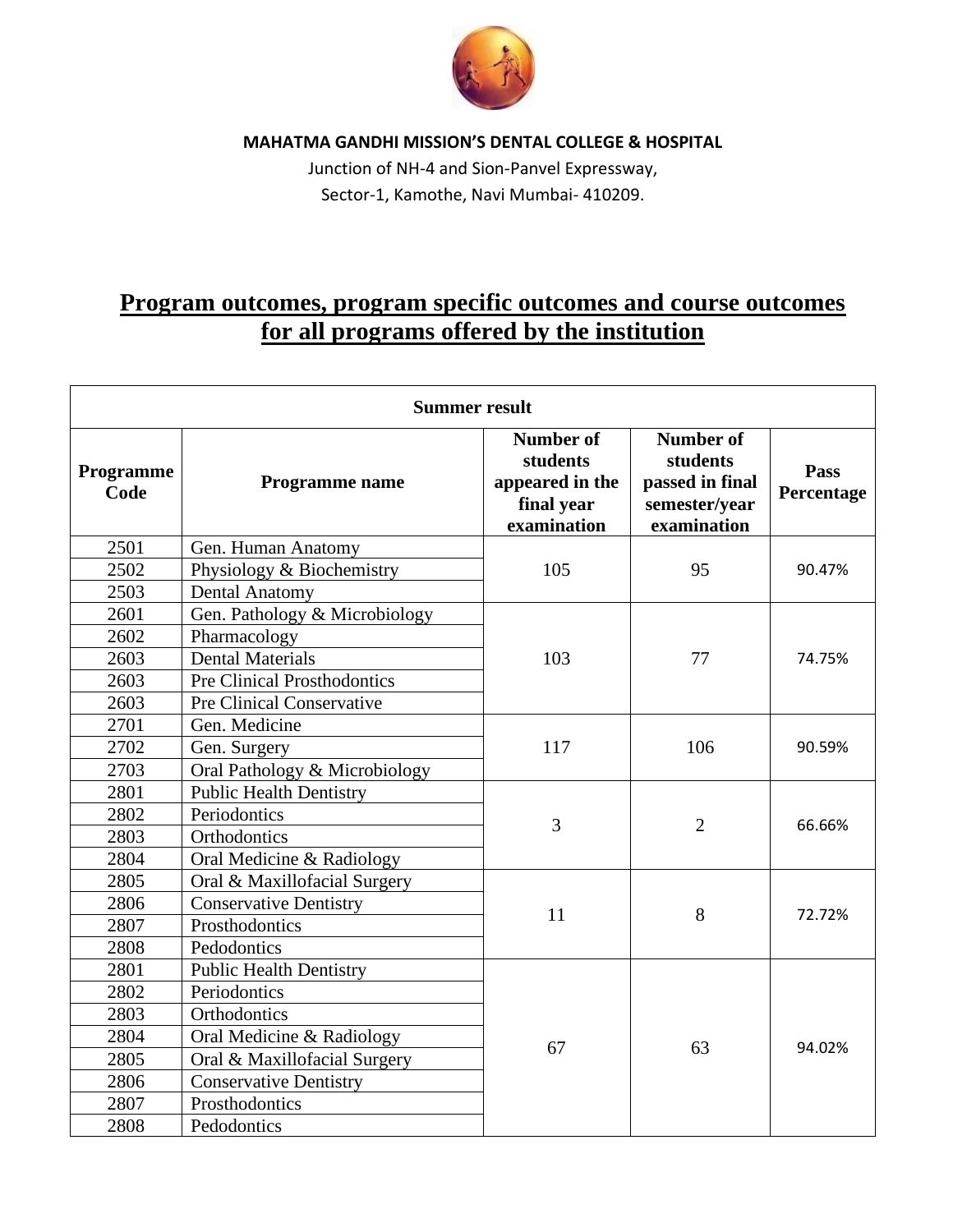

**MAHATMA GANDHI MISSION'S DENTAL COLLEGE & HOSPITAL**

Junction of NH-4 and Sion-Panvel Expressway, Sector-1, Kamothe, Navi Mumbai- 410209.

## **Program outcomes, program specific outcomes and course outcomes for all programs offered by the institution**

| <b>Summer result</b> |                                    |                                                                              |                                                                                 |                    |  |  |
|----------------------|------------------------------------|------------------------------------------------------------------------------|---------------------------------------------------------------------------------|--------------------|--|--|
| Programme<br>Code    | Programme name                     | <b>Number of</b><br>students<br>appeared in the<br>final year<br>examination | <b>Number of</b><br>students<br>passed in final<br>semester/year<br>examination | Pass<br>Percentage |  |  |
| 2501                 | Gen. Human Anatomy                 | 105                                                                          | 95                                                                              | 90.47%             |  |  |
| 2502                 | Physiology & Biochemistry          |                                                                              |                                                                                 |                    |  |  |
| 2503                 | <b>Dental Anatomy</b>              |                                                                              |                                                                                 |                    |  |  |
| 2601                 | Gen. Pathology & Microbiology      | 103                                                                          | 77                                                                              | 74.75%             |  |  |
| 2602                 | Pharmacology                       |                                                                              |                                                                                 |                    |  |  |
| 2603                 | <b>Dental Materials</b>            |                                                                              |                                                                                 |                    |  |  |
| 2603                 | <b>Pre Clinical Prosthodontics</b> |                                                                              |                                                                                 |                    |  |  |
| 2603                 | Pre Clinical Conservative          |                                                                              |                                                                                 |                    |  |  |
| 2701                 | Gen. Medicine                      | 117                                                                          | 106                                                                             | 90.59%             |  |  |
| 2702                 | Gen. Surgery                       |                                                                              |                                                                                 |                    |  |  |
| 2703                 | Oral Pathology & Microbiology      |                                                                              |                                                                                 |                    |  |  |
| 2801                 | <b>Public Health Dentistry</b>     | 3                                                                            | $\overline{2}$                                                                  | 66.66%             |  |  |
| 2802                 | Periodontics                       |                                                                              |                                                                                 |                    |  |  |
| 2803                 | Orthodontics                       |                                                                              |                                                                                 |                    |  |  |
| 2804                 | Oral Medicine & Radiology          |                                                                              |                                                                                 |                    |  |  |
| 2805                 | Oral & Maxillofacial Surgery       | 11                                                                           | 8                                                                               | 72.72%             |  |  |
| 2806                 | <b>Conservative Dentistry</b>      |                                                                              |                                                                                 |                    |  |  |
| 2807                 | Prosthodontics                     |                                                                              |                                                                                 |                    |  |  |
| 2808                 | Pedodontics                        |                                                                              |                                                                                 |                    |  |  |
| 2801                 | <b>Public Health Dentistry</b>     | 67                                                                           | 63                                                                              | 94.02%             |  |  |
| 2802                 | Periodontics                       |                                                                              |                                                                                 |                    |  |  |
| 2803                 | Orthodontics                       |                                                                              |                                                                                 |                    |  |  |
| 2804                 | Oral Medicine & Radiology          |                                                                              |                                                                                 |                    |  |  |
| 2805                 | Oral & Maxillofacial Surgery       |                                                                              |                                                                                 |                    |  |  |
| 2806                 | <b>Conservative Dentistry</b>      |                                                                              |                                                                                 |                    |  |  |
| 2807                 | Prosthodontics                     |                                                                              |                                                                                 |                    |  |  |
| 2808                 | Pedodontics                        |                                                                              |                                                                                 |                    |  |  |